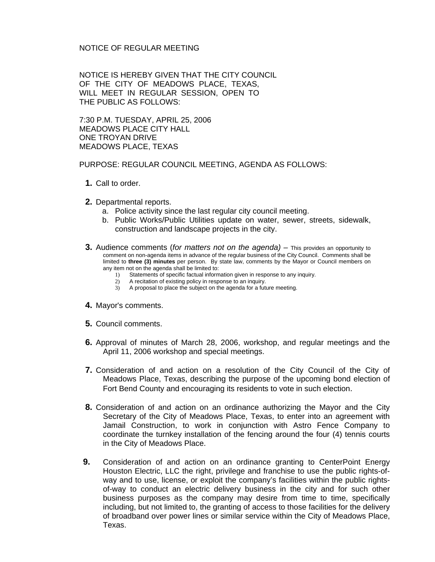## NOTICE OF REGULAR MEETING

NOTICE IS HEREBY GIVEN THAT THE CITY COUNCIL OF THE CITY OF MEADOWS PLACE, TEXAS, WILL MEET IN REGULAR SESSION, OPEN TO THE PUBLIC AS FOLLOWS:

7:30 P.M. TUESDAY, APRIL 25, 2006 MEADOWS PLACE CITY HALL ONE TROYAN DRIVE MEADOWS PLACE, TEXAS

PURPOSE: REGULAR COUNCIL MEETING, AGENDA AS FOLLOWS:

- **1.** Call to order.
- **2.** Departmental reports.
	- a. Police activity since the last regular city council meeting.
	- b. Public Works/Public Utilities update on water, sewer, streets, sidewalk, construction and landscape projects in the city.
- **3.** Audience comments (*for matters not on the agenda)* This provides an opportunity to comment on non-agenda items in advance of the regular business of the City Council. Comments shall be limited to **three (3) minutes** per person. By state law, comments by the Mayor or Council members on any item not on the agenda shall be limited to:
	- 1) Statements of specific factual information given in response to any inquiry.<br>2) A recitation of existing policy in response to an inquiry.
	- A recitation of existing policy in response to an inquiry.
	- 3) A proposal to place the subject on the agenda for a future meeting.
- **4.** Mayor's comments.
- **5.** Council comments.
- **6.** Approval of minutes of March 28, 2006, workshop, and regular meetings and the April 11, 2006 workshop and special meetings.
- **7.** Consideration of and action on a resolution of the City Council of the City of Meadows Place, Texas, describing the purpose of the upcoming bond election of Fort Bend County and encouraging its residents to vote in such election.
- **8.** Consideration of and action on an ordinance authorizing the Mayor and the City Secretary of the City of Meadows Place, Texas, to enter into an agreement with Jamail Construction, to work in conjunction with Astro Fence Company to coordinate the turnkey installation of the fencing around the four (4) tennis courts in the City of Meadows Place.
- **9.** Consideration of and action on an ordinance granting to CenterPoint Energy Houston Electric, LLC the right, privilege and franchise to use the public rights-ofway and to use, license, or exploit the company's facilities within the public rightsof-way to conduct an electric delivery business in the city and for such other business purposes as the company may desire from time to time, specifically including, but not limited to, the granting of access to those facilities for the delivery of broadband over power lines or similar service within the City of Meadows Place, Texas.